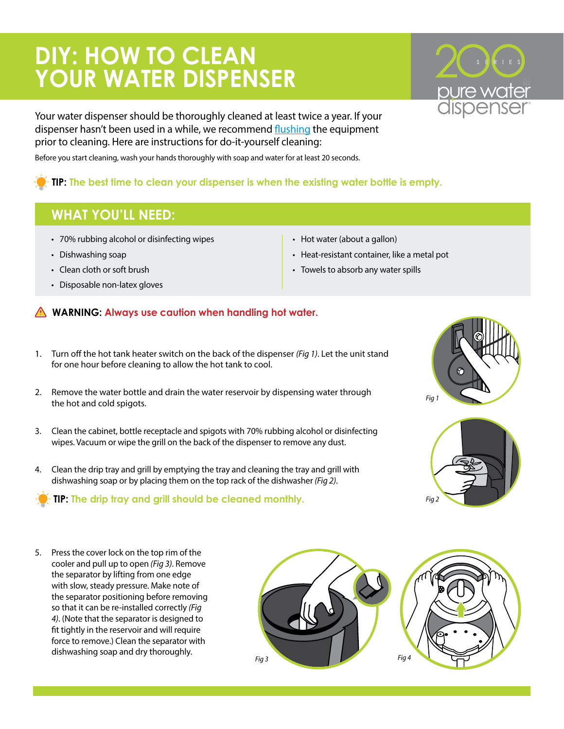## **DIY: HOW TO CLEAN YOUR WATER DISPENSER**

Your water dispenser should be thoroughly cleaned at least twice a year. If your dispenser hasn't been used in a while, we recommend [flushing](https://www.water.com/files/nonbrand/equipmentdocs/equipment_flushing_instructions.pdf) the equipment prior to cleaning. Here are instructions for do-it-yourself cleaning:

Before you start cleaning, wash your hands thoroughly with soap and water for at least 20 seconds.

## **TIP: The best time to clean your dispenser is when the existing water bottle is empty.**

## **WHAT YOU'LL NEED:**

- 70% rubbing alcohol or disinfecting wipes
- Dishwashing soap
- Clean cloth or soft brush
- Disposable non-latex gloves
- Hot water (about a gallon)
- Heat-resistant container, like a metal pot
- Towels to absorb any water spills

## **WARNING: Always use caution when handling hot water.**

- 1. Turn off the hot tank heater switch on the back of the dispenser *(Fig 1)*. Let the unit stand for one hour before cleaning to allow the hot tank to cool.
- 2. Remove the water bottle and drain the water reservoir by dispensing water through the hot and cold spigots.
- 3. Clean the cabinet, bottle receptacle and spigots with 70% rubbing alcohol or disinfecting wipes. Vacuum or wipe the grill on the back of the dispenser to remove any dust.
- 4. Clean the drip tray and grill by emptying the tray and cleaning the tray and grill with dishwashing soap or by placing them on the top rack of the dishwasher *(Fig 2)*.

**TIP: The drip tray and grill should be cleaned monthly.**

*Fig 1*



5. Press the cover lock on the top rim of the cooler and pull up to open *(Fig 3)*. Remove the separator by lifting from one edge with slow, steady pressure. Make note of the separator positioning before removing so that it can be re-installed correctly *(Fig 4)*. (Note that the separator is designed to fit tightly in the reservoir and will require force to remove.) Clean the separator with dishwashing soap and dry thoroughly. *Fig 3 Fig 4*